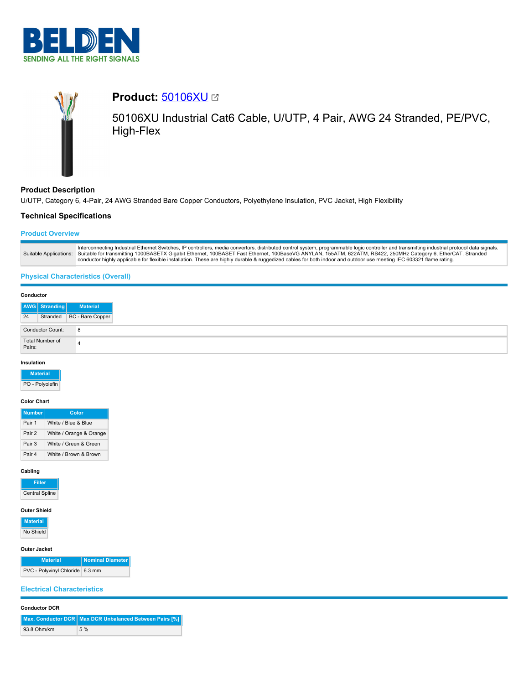



## **Product Description**

U/UTP, Category 6, 4-Pair, 24 AWG Stranded Bare Copper Conductors, Polyethylene Insulation, PVC Jacket, High Flexibility

## **Technical Specifications**

## **Product Overview**

|  | Interconnecting Industrial Ethernet Switches, IP controllers, media convertors, distributed control system, programmable logic controller and transmitting industrial protocol data signals.<br>Suitable Applications: Suitable for transmitting 1000BASETX Gigabit Ethernet, 100BASET Fast Ethernet, 100BaseVG ANYLAN, 155ATM, 622ATM, RS422, 250MHz Category 6, EtherCAT. Stranded<br>conductor highly applicable for flexible installation. These are highly durable & ruggedized cables for both indoor and outdoor use meeting IEC 603321 flame rating. |
|--|--------------------------------------------------------------------------------------------------------------------------------------------------------------------------------------------------------------------------------------------------------------------------------------------------------------------------------------------------------------------------------------------------------------------------------------------------------------------------------------------------------------------------------------------------------------|
|--|--------------------------------------------------------------------------------------------------------------------------------------------------------------------------------------------------------------------------------------------------------------------------------------------------------------------------------------------------------------------------------------------------------------------------------------------------------------------------------------------------------------------------------------------------------------|

# **Physical Characteristics (Overall)**

#### **Conductor**

|    | AWG Stranding             | <b>Material</b>           |
|----|---------------------------|---------------------------|
| 24 |                           | Stranded BC - Bare Copper |
|    | Conductor Count:          | 8                         |
|    | Total Number of<br>Pairs: |                           |

#### **Insulation**

| <b>Material</b> |
|-----------------|
| PO - Polyolefin |

#### **Color Chart**

| <b>Number</b> | Color                   |
|---------------|-------------------------|
| Pair 1        | White / Blue & Blue     |
| Pair 2        | White / Orange & Orange |
| Pair 3        | White / Green & Green   |
| Pair 4        | White / Brown & Brown   |

#### **Cabling**

**Filler** Central Spline

# **Outer Shield**

**Material** No Shield

#### **Outer Jacket**

| <b>Material</b>                 | Nominal Diameter |
|---------------------------------|------------------|
| PVC - Polyvinyl Chloride 6.3 mm |                  |

# **Electrical Characteristics**

## **Conductor DCR**

|             | Max. Conductor DCR   Max DCR Unbalanced Between Pairs [%] |
|-------------|-----------------------------------------------------------|
| 93.8 Ohm/km | 5%                                                        |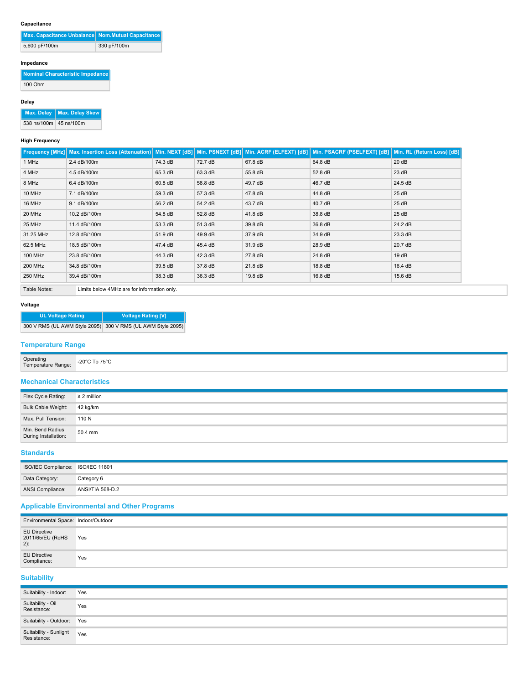## **Capacitance**

| Max. Capacitance Unbalance Nom.Mutual Capacitance |             |
|---------------------------------------------------|-------------|
| 5,600 pF/100m                                     | 330 pF/100m |

## **Impedance**

**Nominal Characteristic Impedance** 100 Ohm

#### **Delay**

**Max. Delay Max. Delay Skew**

538 ns/100m 45 ns/100m

#### **High Frequency**

|                             | Frequency [MHz] Max. Insertion Loss (Attenuation)   Min. NEXT [dB]   Min. PSNEXT [dB]   Min. ACRF (ELFEXT) [dB]   Min. PSACRF (PSELFEXT) [dB]   Min. RL (Return Loss) [dB] |         |         |         |         |         |
|-----------------------------|----------------------------------------------------------------------------------------------------------------------------------------------------------------------------|---------|---------|---------|---------|---------|
| 1 MHz                       | 2.4 dB/100m                                                                                                                                                                | 74.3 dB | 72.7 dB | 67.8 dB | 64.8 dB | 20 dB   |
| 4 MHz                       | 4.5 dB/100m                                                                                                                                                                | 65.3 dB | 63.3 dB | 55.8 dB | 52.8 dB | 23 dB   |
| 8 MHz                       | 6.4 dB/100m                                                                                                                                                                | 60.8 dB | 58.8 dB | 49.7 dB | 46.7 dB | 24.5 dB |
| 10 MHz                      | 7.1 dB/100m                                                                                                                                                                | 59.3 dB | 57.3 dB | 47.8 dB | 44.8 dB | 25dB    |
| 16 MHz                      | 9.1 dB/100m                                                                                                                                                                | 56.2 dB | 54.2 dB | 43.7 dB | 40.7 dB | 25 dB   |
| 20 MHz                      | 10.2 dB/100m                                                                                                                                                               | 54.8 dB | 52.8 dB | 41.8 dB | 38.8 dB | 25 dB   |
| 25 MHz                      | 11.4 dB/100m                                                                                                                                                               | 53.3 dB | 51.3 dB | 39.8 dB | 36.8 dB | 24.2 dB |
| 31.25 MHz                   | 12.8 dB/100m                                                                                                                                                               | 51.9 dB | 49.9 dB | 37.9 dB | 34.9 dB | 23.3 dB |
| 62.5 MHz                    | 18.5 dB/100m                                                                                                                                                               | 47.4 dB | 45.4 dB | 31.9 dB | 28.9 dB | 20.7 dB |
| 100 MHz                     | 23.8 dB/100m                                                                                                                                                               | 44.3 dB | 42.3 dB | 27.8 dB | 24.8 dB | 19dB    |
| 200 MHz                     | 34.8 dB/100m                                                                                                                                                               | 39.8 dB | 37.8 dB | 21.8 dB | 18.8 dB | 16.4 dB |
| 250 MHz                     | 39.4 dB/100m                                                                                                                                                               | 38.3 dB | 36.3 dB | 19.8 dB | 16.8 dB | 15.6 dB |
| $T = 1.1 - 1.1 - 1.1 - 1.1$ | il toother brothers of Million and from the former which is a brother                                                                                                      |         |         |         |         |         |

Table Notes: Limits below 4MHz are for information only.

## **Voltage**

| <b>UL Voltage Rating</b> | <b>Voltage Rating [V]</b>                                   |
|--------------------------|-------------------------------------------------------------|
|                          | 300 V RMS (UL AWM Style 2095) 300 V RMS (UL AWM Style 2095) |

# **Temperature Range**

| Operating<br>Range: | ` To 75°C<br>-20°C<br>-- - . - . - - |
|---------------------|--------------------------------------|
|                     |                                      |

## **Mechanical Characteristics**

| Flex Cycle Rating:                       | $\geq$ 2 million |
|------------------------------------------|------------------|
| Bulk Cable Weight: 42 kg/km              |                  |
| Max. Pull Tension:                       | 110 N            |
| Min. Bend Radius<br>During Installation: | 50.4 mm          |

## **Standards**

| ISO/IEC Compliance: ISO/IEC 11801 |                         |
|-----------------------------------|-------------------------|
| Data Category:                    | Category 6              |
| ANSI Compliance:                  | <b>ANSI/TIA 568-D.2</b> |

## **Applicable Environmental and Other Programs**

| Environmental Space: Indoor/Outdoor     |     |
|-----------------------------------------|-----|
| EU Directive<br>2011/65/EU (RoHS<br>2): | Yes |
| EU Directive<br>Compliance:             | Yes |

**Suitability**

| Suitability - Indoor:                 | Yes |
|---------------------------------------|-----|
| Suitability - Oil<br>Resistance:      | Yes |
| Suitability - Outdoor: Yes            |     |
| Suitability - Sunlight<br>Resistance: | Yes |